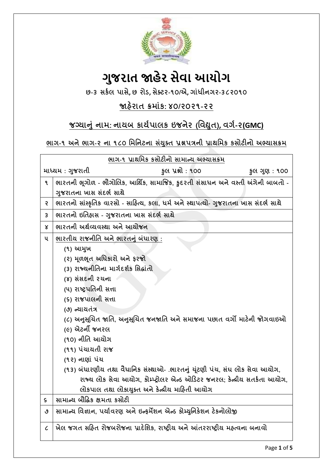

# **ગુજરાત જાહેર સેવા આયોગ**

**છ-૩ સર્કર ાસે, છ યોડ, સેક્ટય-૧૦/એ, ગાાંધીનગય-૩૮૨૦૧૦**

### **જાહયે ાત ક્રભાાંર્: ૪૦/૨૦૨૧-૨૨**

### **જગ્માનાં નાભ: નામફ ર્ામકારર્ ઇજનેય (વલદ્યત ), લગક-૨(GMC)**

### **બાગ-૧ અનેબાગ-૨ ના ૧૮૦ વભવનટના સયાં ક્ ત પ્રશ્નત્રની પ્રાથવભર્ ર્સોટીનો અભ્માસક્રભ**

| <u>ભાગ-૧ પ્રાથમિક કસોટીનો સામાન્ય અભ્યાસક્રમ</u> |                                                                                      |                                                                            |               |  |  |
|--------------------------------------------------|--------------------------------------------------------------------------------------|----------------------------------------------------------------------------|---------------|--|--|
| માધ્યમ : ગુજરાતી                                 |                                                                                      | કૂલ પ્રશ્નો : ૧૦૦                                                          | કુલ ગુણ : ૧૦૦ |  |  |
| ۹                                                | ભારતની ભૂગોળ - ભૌગોલિક, આર્થિક, સામાજિક, કુદરતી સંસાધન અને વસ્તી અંગેની બાબતો -      |                                                                            |               |  |  |
|                                                  | ગુજરાતના ખાસ સંદર્ભ સાથે                                                             |                                                                            |               |  |  |
| 5                                                | ભારતનો સાંસ્કૃતિક વારસો - સાહિત્ય, કલા, ધર્મ અને સ્થાપત્યો- ગુજરાતના ખાસ સંદર્ભ સાથે |                                                                            |               |  |  |
| 3                                                | ભારતનો ઇતિહ્રાસ - ગુજરાતના ખાસ સંદર્ભ સાથે                                           |                                                                            |               |  |  |
| Χ                                                | ભારતની અર્થવ્યવસ્થા અને આયોજન                                                        |                                                                            |               |  |  |
| ૫                                                | ભારતીય રાજનીતિ અને ભારતનું બંધારણ :                                                  |                                                                            |               |  |  |
|                                                  | (૧) આમુખ                                                                             |                                                                            |               |  |  |
|                                                  | (૨) મૂળભૂત અધિકારો અને ફરજો                                                          |                                                                            |               |  |  |
|                                                  | (3) રાજ્યનીતિના માર્ગદર્શક સિદ્ધાંતો                                                 |                                                                            |               |  |  |
|                                                  | (४) સંસદની રચના                                                                      |                                                                            |               |  |  |
|                                                  | (૫) રાષ્ટ્રપતિની સત્તા                                                               |                                                                            |               |  |  |
|                                                  | (૬) રાજપાલની સત્તા                                                                   |                                                                            |               |  |  |
|                                                  | (૭) ન્યાયતંત્ર                                                                       |                                                                            |               |  |  |
|                                                  | (૮) અનુસૂચિત જાતિ, અનુસૂચિત જનજાતિ અને સમાજના પછાત વર્ગો માટેની જોગવાઇઓ              |                                                                            |               |  |  |
|                                                  | (૯) એટર્ની જનરલ                                                                      |                                                                            |               |  |  |
|                                                  | (૧૦) નીતિ આયોગ                                                                       |                                                                            |               |  |  |
|                                                  | (૧૧) પંચાયતી રાજ                                                                     |                                                                            |               |  |  |
|                                                  | (૧૨) નાણાં પંચ                                                                       |                                                                            |               |  |  |
|                                                  | (૧૩) બંધારણીય તથા વૈધાનિક સંસ્થાઓ- .ભારતનું ચૂંટણી પંચ, સંઘ લોક સેવા આયોગ,           |                                                                            |               |  |  |
|                                                  |                                                                                      | રાજ્ય લોક સેવા આયોગ, કોમ્પ્ટ્રોલર એન્ડ ઓડિટર જનરલ; કેન્ન્રીય સતર્કતા આયોગ, |               |  |  |
|                                                  | લોકપાલ તથા લોકાયુક્ત અને કેન્દ્રીય માહિતી આયોગ                                       |                                                                            |               |  |  |
| ς                                                | સામાન્ય બૌદ્ધિક ક્ષમતા કસોટી                                                         |                                                                            |               |  |  |
| ٯ                                                | સામાન્ય વિજ્ઞાન, પર્યાવરણ અને ઇન્ફર્મેશન એન્ડ કોમ્યુનિકેશન ટેકનોલોજી                 |                                                                            |               |  |  |
| $\mathcal C$                                     | ખેલ જગત સહિત રોજબરોજના પ્રાદેશિક, રાષ્ટ્રીય અને આંતરરાષ્ટ્રીય મહ્ત્વના બનાવો         |                                                                            |               |  |  |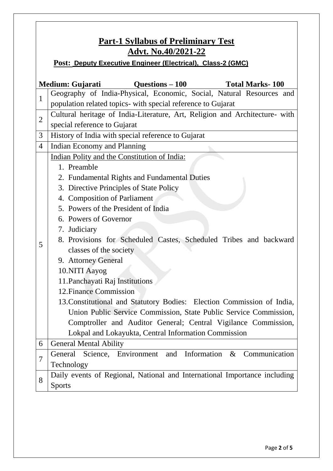| <b>Part-1 Syllabus of Preliminary Test</b>                         |                                                                             |  |  |  |  |  |
|--------------------------------------------------------------------|-----------------------------------------------------------------------------|--|--|--|--|--|
| <u>Advt. No.40/2021-22</u>                                         |                                                                             |  |  |  |  |  |
| <b>Post: Deputy Executive Engineer (Electrical), Class-2 (GMC)</b> |                                                                             |  |  |  |  |  |
|                                                                    |                                                                             |  |  |  |  |  |
|                                                                    | $Questions - 100$<br>Medium: Gujarati<br><b>Total Marks-100</b>             |  |  |  |  |  |
| $\mathbf{1}$                                                       | Geography of India-Physical, Economic, Social, Natural Resources and        |  |  |  |  |  |
|                                                                    | population related topics- with special reference to Gujarat                |  |  |  |  |  |
| $\overline{2}$                                                     | Cultural heritage of India-Literature, Art, Religion and Architecture- with |  |  |  |  |  |
|                                                                    | special reference to Gujarat                                                |  |  |  |  |  |
| 3                                                                  | History of India with special reference to Gujarat                          |  |  |  |  |  |
| $\overline{4}$                                                     | Indian Economy and Planning                                                 |  |  |  |  |  |
|                                                                    | Indian Polity and the Constitution of India:                                |  |  |  |  |  |
|                                                                    | 1. Preamble                                                                 |  |  |  |  |  |
|                                                                    | 2. Fundamental Rights and Fundamental Duties                                |  |  |  |  |  |
|                                                                    | 3. Directive Principles of State Policy                                     |  |  |  |  |  |
|                                                                    | 4. Composition of Parliament                                                |  |  |  |  |  |
|                                                                    | 5. Powers of the President of India                                         |  |  |  |  |  |
|                                                                    | 6. Powers of Governor                                                       |  |  |  |  |  |
|                                                                    | 7. Judiciary                                                                |  |  |  |  |  |
| 5                                                                  | 8. Provisions for Scheduled Castes, Scheduled Tribes and backward           |  |  |  |  |  |
|                                                                    | classes of the society                                                      |  |  |  |  |  |
|                                                                    | 9. Attorney General                                                         |  |  |  |  |  |
|                                                                    | 10.NITI Aayog                                                               |  |  |  |  |  |
|                                                                    | 11. Panchayati Raj Institutions                                             |  |  |  |  |  |
|                                                                    | 12. Finance Commission                                                      |  |  |  |  |  |
|                                                                    | 13. Constitutional and Statutory Bodies: Election Commission of India,      |  |  |  |  |  |
|                                                                    | Union Public Service Commission, State Public Service Commission,           |  |  |  |  |  |
|                                                                    | Comptroller and Auditor General; Central Vigilance Commission,              |  |  |  |  |  |
|                                                                    | Lokpal and Lokayukta, Central Information Commission                        |  |  |  |  |  |
| 6                                                                  | <b>General Mental Ability</b>                                               |  |  |  |  |  |
| 7                                                                  | Information<br>General Science, Environment and<br>& Communication          |  |  |  |  |  |
|                                                                    | Technology                                                                  |  |  |  |  |  |
| 8                                                                  | Daily events of Regional, National and International Importance including   |  |  |  |  |  |
|                                                                    | <b>Sports</b>                                                               |  |  |  |  |  |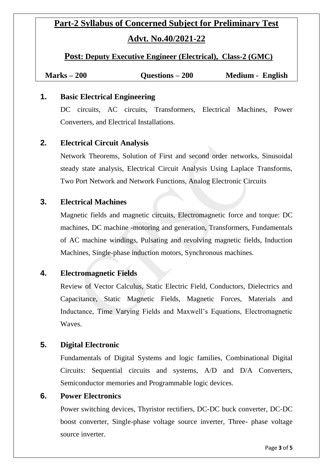## **Part-2 Syllabus of Concerned Subject for Preliminary Test Advt. No.40/2021-22**

**Post: Deputy Executive Engineer (Electrical), Class-2 (GMC)**

| $Marks - 200$ | Questions $-200$ | Medium - English |
|---------------|------------------|------------------|
|---------------|------------------|------------------|

#### **1. Basic Electrical Engineering**

DC circuits, AC circuits, Transformers, Electrical Machines, Power Converters, and Electrical Installations.

#### **2. Electrical Circuit Analysis**

Network Theorems, Solution of First and second order networks, Sinusoidal steady state analysis, Electrical Circuit Analysis Using Laplace Transforms, Two Port Network and Network Functions, Analog Electronic Circuits

#### **3. Electrical Machines**

Magnetic fields and magnetic circuits, Electromagnetic force and torque: DC machines, DC machine -motoring and generation, Transformers, Fundamentals of AC machine windings, Pulsating and revolving magnetic fields, Induction Machines, Single-phase induction motors, Synchronous machines.

#### **4. Electromagnetic Fields**

Review of Vector Calculus, Static Electric Field, Conductors, Dielectrics and Capacitance, Static Magnetic Fields, Magnetic Forces, Materials and Inductance, Time Varying Fields and Maxwell's Equations, Electromagnetic **Waves** 

#### **5. Digital Electronic**

Fundamentals of Digital Systems and logic families, Combinational Digital Circuits: Sequential circuits and systems, A/D and D/A Converters, Semiconductor memories and Programmable logic devices.

#### **6. Power Electronics**

Power switching devices, Thyristor rectifiers, DC-DC buck converter, DC-DC boost converter, Single-phase voltage source inverter, Three- phase voltage source inverter.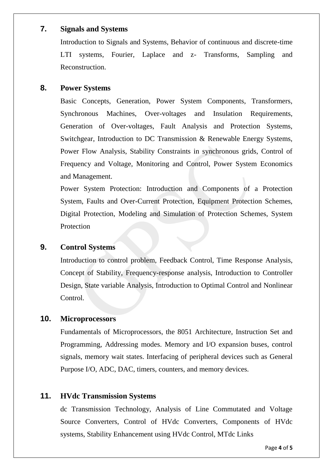#### **7. Signals and Systems**

Introduction to Signals and Systems, Behavior of continuous and discrete-time LTI systems, Fourier, Laplace and z- Transforms, Sampling and Reconstruction.

#### **8. Power Systems**

Basic Concepts, Generation, Power System Components, Transformers, Synchronous Machines, Over-voltages and Insulation Requirements, Generation of Over-voltages, Fault Analysis and Protection Systems, Switchgear, Introduction to DC Transmission & Renewable Energy Systems, Power Flow Analysis, Stability Constraints in synchronous grids, Control of Frequency and Voltage, Monitoring and Control, Power System Economics and Management.

Power System Protection: Introduction and Components of a Protection System, Faults and Over-Current Protection, Equipment Protection Schemes, Digital Protection, Modeling and Simulation of Protection Schemes, System Protection

#### **9. Control Systems**

Introduction to control problem, Feedback Control, Time Response Analysis, Concept of Stability, Frequency-response analysis, Introduction to Controller Design, State variable Analysis, Introduction to Optimal Control and Nonlinear Control.

#### **10. Microprocessors**

Fundamentals of Microprocessors, the 8051 Architecture, Instruction Set and Programming, Addressing modes. Memory and I/O expansion buses, control signals, memory wait states. Interfacing of peripheral devices such as General Purpose I/O, ADC, DAC, timers, counters, and memory devices.

#### **11. HVdc Transmission Systems**

dc Transmission Technology, Analysis of Line Commutated and Voltage Source Converters, Control of HVdc Converters, Components of HVdc systems, Stability Enhancement using HVdc Control, MTdc Links